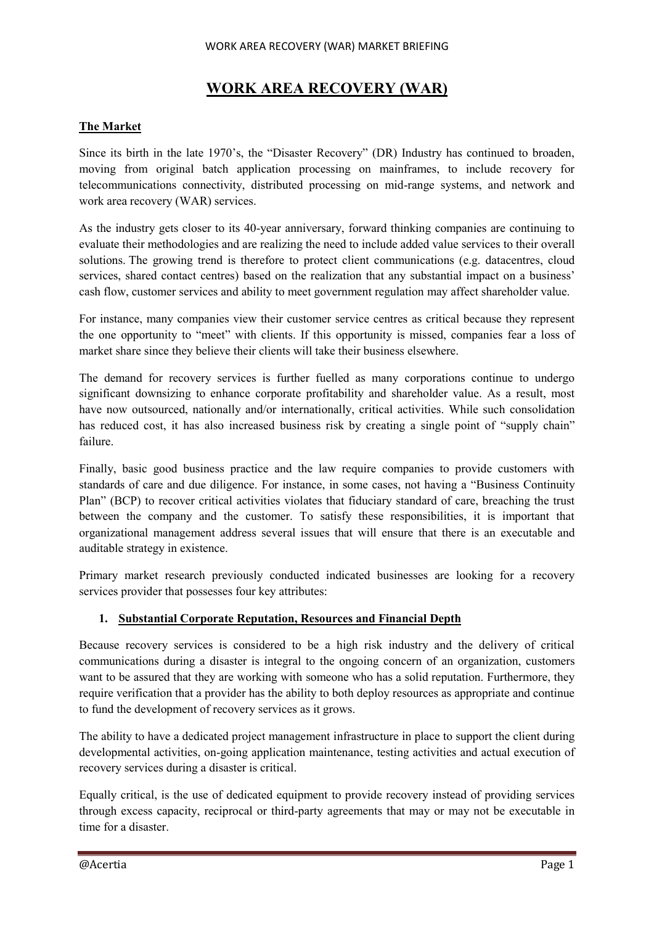#### WORK AREA RECOVERY (WAR) MARKET BRIEFING

# **WORK AREA RECOVERY (WAR)**

### **The Market**

Since its birth in the late 1970's, the "Disaster Recovery" (DR) Industry has continued to broaden, moving from original batch application processing on mainframes, to include recovery for telecommunications connectivity, distributed processing on mid-range systems, and network and work area recovery (WAR) services.

As the industry gets closer to its 40-year anniversary, forward thinking companies are continuing to evaluate their methodologies and are realizing the need to include added value services to their overall solutions. The growing trend is therefore to protect client communications (e.g. datacentres, cloud services, shared contact centres) based on the realization that any substantial impact on a business' cash flow, customer services and ability to meet government regulation may affect shareholder value.

For instance, many companies view their customer service centres as critical because they represent the one opportunity to "meet" with clients. If this opportunity is missed, companies fear a loss of market share since they believe their clients will take their business elsewhere.

The demand for recovery services is further fuelled as many corporations continue to undergo significant downsizing to enhance corporate profitability and shareholder value. As a result, most have now outsourced, nationally and/or internationally, critical activities. While such consolidation has reduced cost, it has also increased business risk by creating a single point of "supply chain" failure.

Finally, basic good business practice and the law require companies to provide customers with standards of care and due diligence. For instance, in some cases, not having a "Business Continuity Plan" (BCP) to recover critical activities violates that fiduciary standard of care, breaching the trust between the company and the customer. To satisfy these responsibilities, it is important that organizational management address several issues that will ensure that there is an executable and auditable strategy in existence.

Primary market research previously conducted indicated businesses are looking for a recovery services provider that possesses four key attributes:

### **1. Substantial Corporate Reputation, Resources and Financial Depth**

Because recovery services is considered to be a high risk industry and the delivery of critical communications during a disaster is integral to the ongoing concern of an organization, customers want to be assured that they are working with someone who has a solid reputation. Furthermore, they require verification that a provider has the ability to both deploy resources as appropriate and continue to fund the development of recovery services as it grows.

The ability to have a dedicated project management infrastructure in place to support the client during developmental activities, on-going application maintenance, testing activities and actual execution of recovery services during a disaster is critical.

Equally critical, is the use of dedicated equipment to provide recovery instead of providing services through excess capacity, reciprocal or third-party agreements that may or may not be executable in time for a disaster.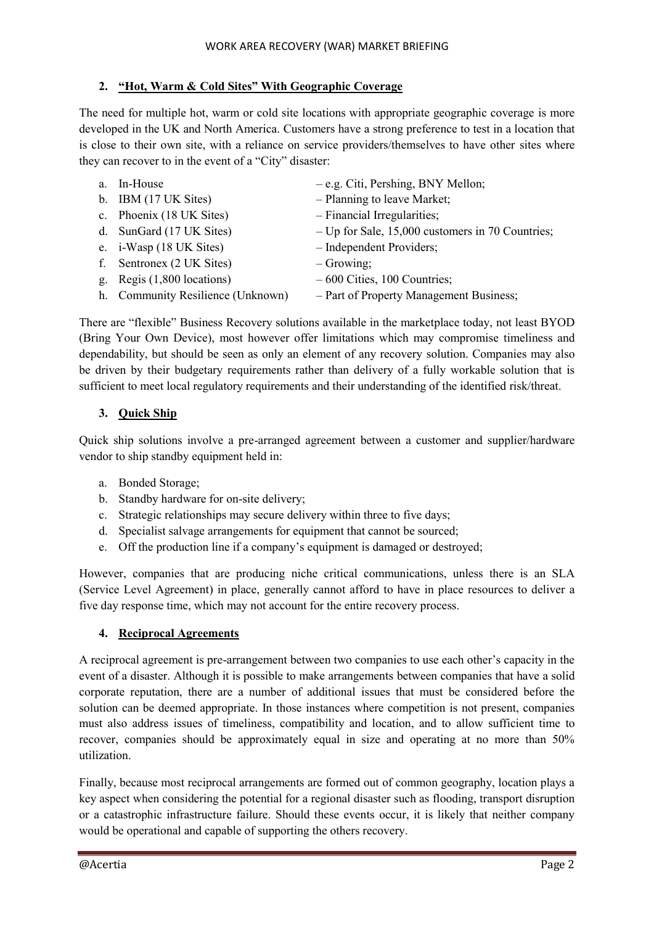# **2. "Hot, Warm & Cold Sites" With Geographic Coverage**

The need for multiple hot, warm or cold site locations with appropriate geographic coverage is more developed in the UK and North America. Customers have a strong preference to test in a location that is close to their own site, with a reliance on service providers/themselves to have other sites where they can recover to in the event of a "City" disaster:

- a. In-House e.g. Citi, Pershing, BNY Mellon; b. IBM (17 UK Sites) – Planning to leave Market; c. Phoenix (18 UK Sites) – Financial Irregularities; d. SunGard (17 UK Sites) – Up for Sale, 15,000 customers in 70 Countries; e. i-Wasp (18 UK Sites) – Independent Providers; f. Sentronex (2 UK Sites) – Growing; g. Regis  $(1,800 \text{ locations})$   $-600 \text{ Cities}, 100 \text{ Countries};$ 
	-
	- h. Community Resilience (Unknown) Part of Property Management Business;

There are "flexible" Business Recovery solutions available in the marketplace today, not least BYOD (Bring Your Own Device), most however offer limitations which may compromise timeliness and dependability, but should be seen as only an element of any recovery solution. Companies may also be driven by their budgetary requirements rather than delivery of a fully workable solution that is sufficient to meet local regulatory requirements and their understanding of the identified risk/threat.

# **3. Quick Ship**

Quick ship solutions involve a pre-arranged agreement between a customer and supplier/hardware vendor to ship standby equipment held in:

- a. Bonded Storage;
- b. Standby hardware for on-site delivery;
- c. Strategic relationships may secure delivery within three to five days;
- d. Specialist salvage arrangements for equipment that cannot be sourced;
- e. Off the production line if a company's equipment is damaged or destroyed;

However, companies that are producing niche critical communications, unless there is an SLA (Service Level Agreement) in place, generally cannot afford to have in place resources to deliver a five day response time, which may not account for the entire recovery process.

### **4. Reciprocal Agreements**

A reciprocal agreement is pre-arrangement between two companies to use each other's capacity in the event of a disaster. Although it is possible to make arrangements between companies that have a solid corporate reputation, there are a number of additional issues that must be considered before the solution can be deemed appropriate. In those instances where competition is not present, companies must also address issues of timeliness, compatibility and location, and to allow sufficient time to recover, companies should be approximately equal in size and operating at no more than 50% utilization.

Finally, because most reciprocal arrangements are formed out of common geography, location plays a key aspect when considering the potential for a regional disaster such as flooding, transport disruption or a catastrophic infrastructure failure. Should these events occur, it is likely that neither company would be operational and capable of supporting the others recovery.